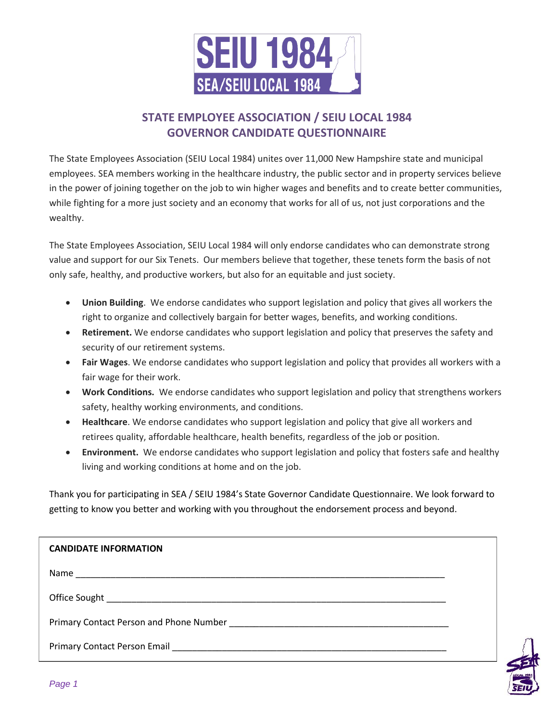

# **STATE EMPLOYEE ASSOCIATION / SEIU LOCAL 1984 GOVERNOR CANDIDATE QUESTIONNAIRE**

The State Employees Association (SEIU Local 1984) unites over 11,000 New Hampshire state and municipal employees. SEA members working in the healthcare industry, the public sector and in property services believe in the power of joining together on the job to win higher wages and benefits and to create better communities, while fighting for a more just society and an economy that works for all of us, not just corporations and the wealthy.

The State Employees Association, SEIU Local 1984 will only endorse candidates who can demonstrate strong value and support for our Six Tenets. Our members believe that together, these tenets form the basis of not only safe, healthy, and productive workers, but also for an equitable and just society.

- **Union Building**. We endorse candidates who support legislation and policy that gives all workers the right to organize and collectively bargain for better wages, benefits, and working conditions.
- **Retirement.** We endorse candidates who support legislation and policy that preserves the safety and security of our retirement systems.
- **Fair Wages**. We endorse candidates who support legislation and policy that provides all workers with a fair wage for their work.
- **Work Conditions.** We endorse candidates who support legislation and policy that strengthens workers safety, healthy working environments, and conditions.
- **Healthcare**. We endorse candidates who support legislation and policy that give all workers and retirees quality, affordable healthcare, health benefits, regardless of the job or position.
- **Environment.** We endorse candidates who support legislation and policy that fosters safe and healthy living and working conditions at home and on the job.

Thank you for participating in SEA / SEIU 1984's State Governor Candidate Questionnaire. We look forward to getting to know you better and working with you throughout the endorsement process and beyond.

| <b>CANDIDATE INFORMATION</b> |  |
|------------------------------|--|
|                              |  |
|                              |  |
|                              |  |
|                              |  |

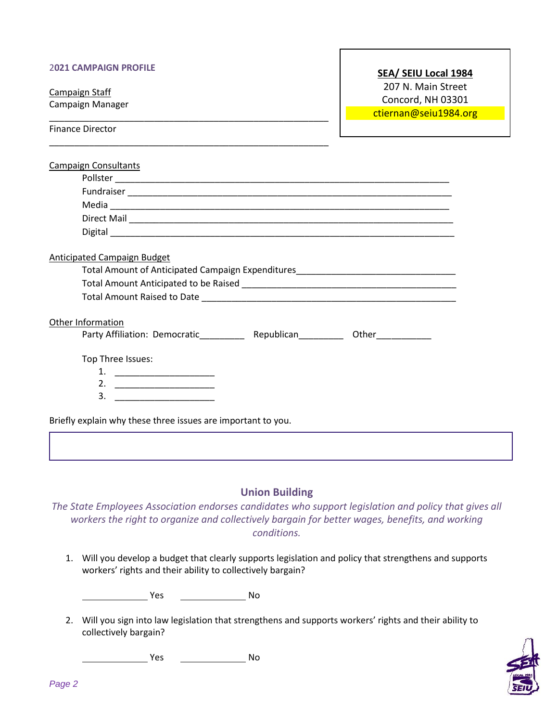#### 2**021 CAMPAIGN PROFILE**

\_\_\_\_\_\_\_\_\_\_\_\_\_\_\_\_\_\_\_\_\_\_\_\_\_\_\_\_\_\_\_\_\_\_\_\_\_\_\_\_\_\_\_\_\_\_\_\_\_\_\_\_\_\_\_\_

\_\_\_\_\_\_\_\_\_\_\_\_\_\_\_\_\_\_\_\_\_\_\_\_\_\_\_\_\_\_\_\_\_\_\_\_\_\_\_\_\_\_\_\_\_\_\_\_\_\_\_\_\_\_\_\_

Campaign Staff Campaign Manager

#### **SEA/ SEIU Local 1984**

207 N. Main Street Concord, NH 03301

ctiernan@seiu1984.org

Finance Director

| <b>Campaign Consultants</b>                                                      |  |
|----------------------------------------------------------------------------------|--|
|                                                                                  |  |
|                                                                                  |  |
|                                                                                  |  |
|                                                                                  |  |
|                                                                                  |  |
| Anticipated Campaign Budget                                                      |  |
| Total Amount of Anticipated Campaign Expenditures_______________________________ |  |
|                                                                                  |  |
|                                                                                  |  |
| Other Information<br>Top Three Issues:                                           |  |
| 1. $\qquad \qquad$                                                               |  |
|                                                                                  |  |
| $\overline{\mathbf{3.}}$ $\overline{\mathbf{10.}}$ $\overline{\mathbf{11.}}$     |  |
| Briefly explain why these three issues are important to you.                     |  |
|                                                                                  |  |
|                                                                                  |  |
| <b>Union Building</b>                                                            |  |

*The State Employees Association endorses candidates who support legislation and policy that gives all workers the right to organize and collectively bargain for better wages, benefits, and working conditions.*

1. Will you develop a budget that clearly supports legislation and policy that strengthens and supports workers' rights and their ability to collectively bargain?

**Yes** No

2. Will you sign into law legislation that strengthens and supports workers' rights and their ability to collectively bargain?

Yes No

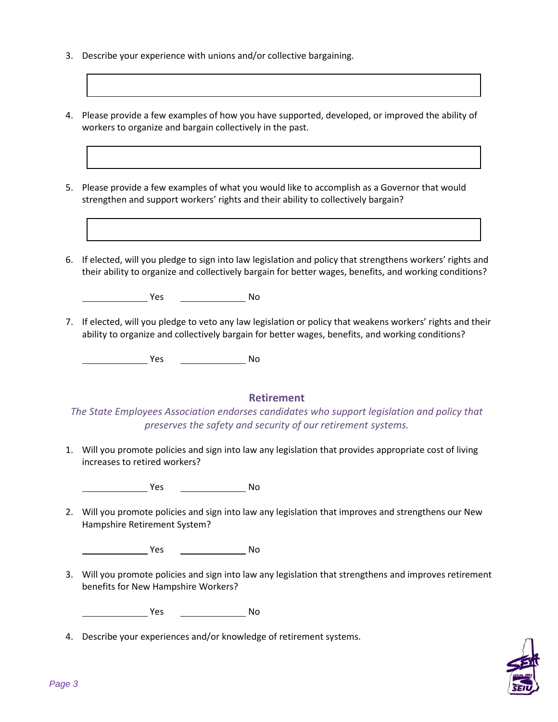- 3. Describe your experience with unions and/or collective bargaining.
- 4. Please provide a few examples of how you have supported, developed, or improved the ability of workers to organize and bargain collectively in the past.
- 5. Please provide a few examples of what you would like to accomplish as a Governor that would strengthen and support workers' rights and their ability to collectively bargain?
- 6. If elected, will you pledge to sign into law legislation and policy that strengthens workers' rights and their ability to organize and collectively bargain for better wages, benefits, and working conditions?

**No. 1998** No. 2016

7. If elected, will you pledge to veto any law legislation or policy that weakens workers' rights and their ability to organize and collectively bargain for better wages, benefits, and working conditions?

Yes No

## **Retirement**

*The State Employees Association endorses candidates who support legislation and policy that preserves the safety and security of our retirement systems.*

1. Will you promote policies and sign into law any legislation that provides appropriate cost of living increases to retired workers?

**The Structure Structure Structure Structure Structure Structure Structure Structure Structure Structure Structure Structure Structure Structure Structure Structure Structure Structure Structure Structure Structure Structu** 

2. Will you promote policies and sign into law any legislation that improves and strengthens our New Hampshire Retirement System?

**Marshall Pres** No 2014 - No

3. Will you promote policies and sign into law any legislation that strengthens and improves retirement benefits for New Hampshire Workers?

Yes No

4. Describe your experiences and/or knowledge of retirement systems.

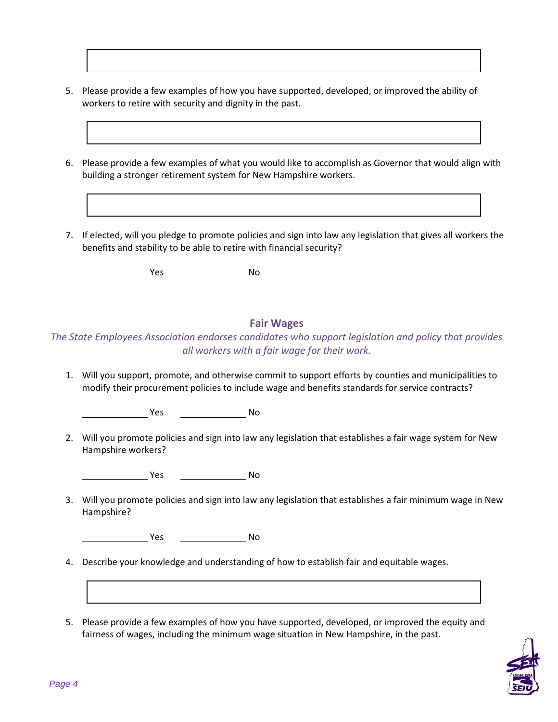- 5. Please provide a few examples of how you have supported, developed, or improved the ability of workers to retire with security and dignity in the past.
- 6. Please provide a few examples of what you would like to accomplish as Governor that would align with building a stronger retirement system for New Hampshire workers.
- 7. If elected, will you pledge to promote policies and sign into law any legislation that gives all workers the benefits and stability to be able to retire with financial security?

Yes No

### **Fair Wages**

*The State Employees Association endorses candidates who support legislation and policy that provides all workers with a fair wage for their work.*

1. Will you support, promote, and otherwise commit to support efforts by counties and municipalities to modify their procurement policies to include wage and benefits standards for service contracts?

**The Street Street Street Street Street Street Street Street Street Street Street Street Street Street Street S** 

2. Will you promote policies and sign into law any legislation that establishes a fair wage system for New Hampshire workers?

**The Street Street Street Street Street Street Street Street Street Street Street Street Street Street Street S** 

3. Will you promote policies and sign into law any legislation that establishes a fair minimum wage in New Hampshire?

**Yes** No

- 4. Describe your knowledge and understanding of how to establish fair and equitable wages.
- 5. Please provide a few examples of how you have supported, developed, or improved the equity and fairness of wages, including the minimum wage situation in New Hampshire, in the past.

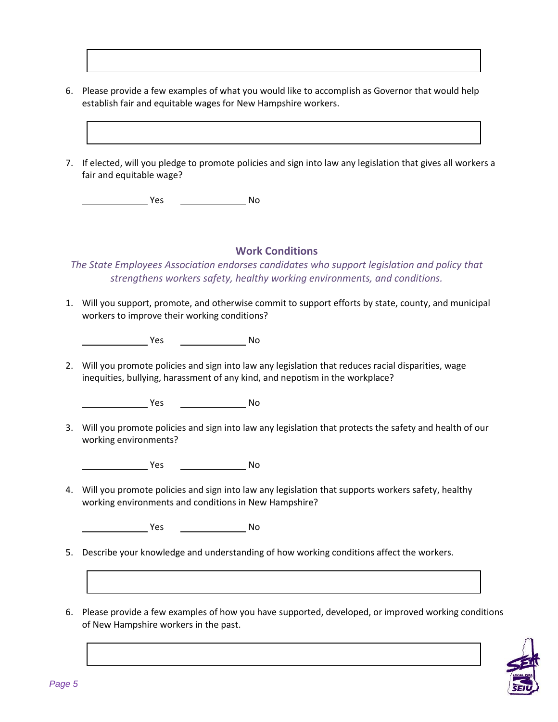- 6. Please provide a few examples of what you would like to accomplish as Governor that would help establish fair and equitable wages for New Hampshire workers.
- 7. If elected, will you pledge to promote policies and sign into law any legislation that gives all workers a fair and equitable wage?

Yes No

### **Work Conditions**

*The State Employees Association endorses candidates who support legislation and policy that strengthens workers safety, healthy working environments, and conditions.*

1. Will you support, promote, and otherwise commit to support efforts by state, county, and municipal workers to improve their working conditions?

**The Street Street Street Street Street Street Street Street Street Street Street Street Street Street Street S** 

2. Will you promote policies and sign into law any legislation that reduces racial disparities, wage inequities, bullying, harassment of any kind, and nepotism in the workplace?

**Yes** No

3. Will you promote policies and sign into law any legislation that protects the safety and health of our working environments?

<u>Notice and the New Yes and Note and Note and Note and Note and Note and Note and Note and Note and Note and No</u>

4. Will you promote policies and sign into law any legislation that supports workers safety, healthy working environments and conditions in New Hampshire?

**The Second Second Second Second Second Second Second Second Second Second Second Second Second Second Second Second Second Second Second Second Second Second Second Second Second Second Second Second Second Second Second** 

- 5. Describe your knowledge and understanding of how working conditions affect the workers.
- 6. Please provide a few examples of how you have supported, developed, or improved working conditions of New Hampshire workers in the past.

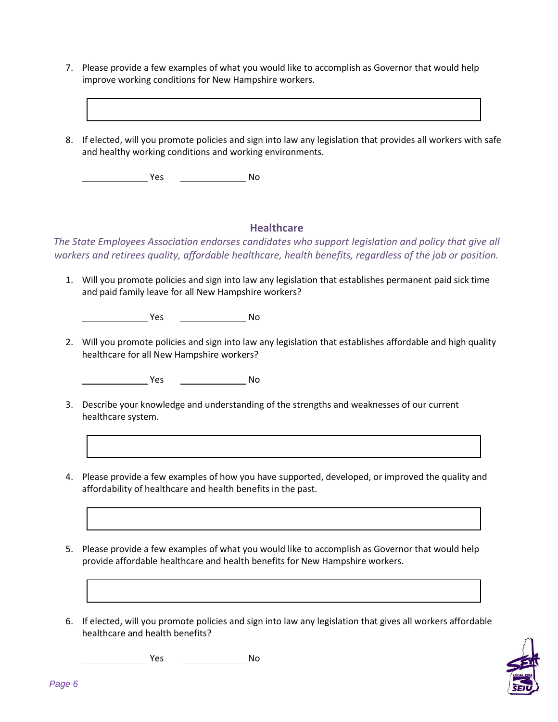- 7. Please provide a few examples of what you would like to accomplish as Governor that would help improve working conditions for New Hampshire workers.
- 8. If elected, will you promote policies and sign into law any legislation that provides all workers with safe and healthy working conditions and working environments.

**Yes** No

### **Healthcare**

*The State Employees Association endorses candidates who support legislation and policy that give all workers and retirees quality, affordable healthcare, health benefits, regardless of the job or position.*

1. Will you promote policies and sign into law any legislation that establishes permanent paid sick time and paid family leave for all New Hampshire workers?

**Marine Street Street Street Street Street Street Street Street Street Street Street Street Street Street** 

2. Will you promote policies and sign into law any legislation that establishes affordable and high quality healthcare for all New Hampshire workers?

**The Street Street Street Street Street Street Street Street Street Street Street Street Street Street Street S** 

- 3. Describe your knowledge and understanding of the strengths and weaknesses of our current healthcare system.
- 4. Please provide a few examples of how you have supported, developed, or improved the quality and affordability of healthcare and health benefits in the past.
- 5. Please provide a few examples of what you would like to accomplish as Governor that would help provide affordable healthcare and health benefits for New Hampshire workers.
- 6. If elected, will you promote policies and sign into law any legislation that gives all workers affordable healthcare and health benefits?



**The Structure Structure Structure Structure Structure Structure Structure Structure Structure Structure Structure Structure Structure Structure Structure Structure Structure Structure Structure Structure Structure Structu**